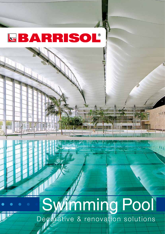Architect : Marc Mimram

# Decorative & renovation solutions Swimming Pool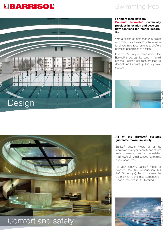### Swimming Pool



#### **For more than 40 years, Barrisol® Normalu® continually provides innovation and develops new solutions for interior decoration.**

With a palette of more than 230 colors and 15 finishes, Barrisol® is the solution for all technical requirements and offers unlimited possibilities of design.

Due to it's unique composition, the Barrisol® sheet can be used in humid spaces. Barrisol® solutions are ideal to decorate and renovate public or private spaces.



#### **All of the Barrisol® systems guarantee maximum safety.**

Barrisol® sheets meets all of the requirements of permeability and steam tests. Therefore, they can be installed in all types of humid spaces (swimming pools, spas, etc.).

For your security, Barrisol® meets or exceeds the fire classification M1 (bs2d0 in europe), the Euroclasses, the CE marking "Conformité Européenne", Class A ,etc. and is UL Classified.





## Comfort and safety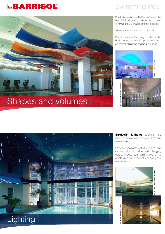**Crys** 

## Swimming Pool

Due to the flexibility of the Barrisol® sheet, the Barrisol® Star® profiles and rails, the creation of forms and 3D shapes is totally possible.

All architectural forms can be created.

Dare to create a 3D ceiling to enhance the design of your swimming pool and admire an original, surprising and unique design.



Architect : Basar Bahadir

d.

## Shapes and volumes



**Barrisol® Lighting** solutions are ideal to create any types of luminous atmospheres.

Embeded spotlights, optic fibers, luminous ceilings with dimmable and changing colors, choose your lighting solution to create your own space of well-being and relaxation.

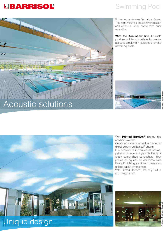## Swimming Pool



Swimming pools are often noisy places. The large volumes create reverberation and create a noisy space with poor acoustics.

**With the Acoustics<sup>®</sup> line, Barrisol<sup>®</sup>** provides solutions to efficiently resolve acoustic problems in public and private swimming pools.



Architect : The Syntax Group UK

Architect:

The Syntax Group UK

With **Printed Barrisol®**, plunge into another universe!

Create your own decoration thanks to digital printing on Barrisol® sheets.

It is possible to reproduce all photos, patterns or decors of your choice for a totally personalized atmosphere. Your printed ceiling can be combined with Barrisol® Lighting solutions to create an unique backlit atmosphere.

With Printed Barrisol®, the only limit is your imagination!



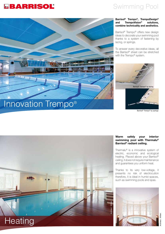### Swimming Pool



#### **Barrisol® Trempo®, TrempoDesign® and TrempoVision® solutions, combine technicality and aesthetics.**

Barrisol® Trempo® offers new design ideas to decorate your swimming pool thanks to a system of fastening by lacing, or springs.

To answer every decorative ideas, all the Barrisol® sheet can be stretched with the Trempo® system.



Barrisol® Trempo® by springs



#### **Warm safely your interior swimming pool with Thermalu® Barrisol® radiant ceiling.**

Thermalu® is a innovative system of electric, economic and ecological heating. Placed above your Barrisol® ceiling, it does not require maintenance and guarantees you uniform heat.

Thanks to its very low-voltage, it presents no risk of electrocution therefore, it is ideal in humid spaces, such as swimming pools and spas.